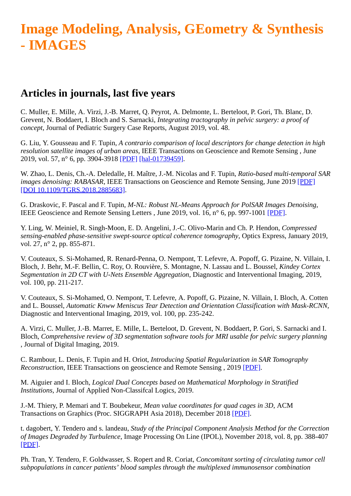## **Image Modeling, Analysis, GEometry & Synthesis - IMAGES**

## **Articles in journals, last five years**

C. Muller, E. Mille, A. Virzi, J.-B. Marret, Q. Peyrot, A. Delmonte, L. Berteloot, P. Gori, Th. Blanc, D. Grevent, N. Boddaert, I. Bloch and S. Sarnacki, *Integrating tractography in pelvic surgery: a proof of concept*, Journal of Pediatric Surgery Case Reports, August 2019, vol. 48.

G. Liu, Y. Gousseau and F. Tupin, *A contrario comparison of local descriptors for change detection in high resolution satellite images of urban areas*, IEEE Transactions on Geoscience and Remote Sensing , June 2019, vol. 57, n° 6, pp. 3904-3918 [\[PDF\]](https://perso.telecom-paristech.fr/tupin/PUB/acontrario.pdf) [\[hal-01739459\].](http://hal-institut-telecom.archives-ouvertes.fr/hal-01739459)

W. Zhao, L. Denis, Ch.-A. Deledalle, H. Maître, J.-M. Nicolas and F. Tupin, *Ratio-based multi-temporal SAR images denoising: RABASAR*, IEEE Transactions on Geoscience and Remote Sensing, June 2019 [\[PDF\]](https://perso.telecom-paristech.fr/tupin/PUB/rabasar.pdf) [\[DOI 10.1109/TGRS.2018.2885683\].](http://dx.doi.org/%2010.1109/TGRS.2018.2885683)

G. Draskovic, F. Pascal and F. Tupin, *M-NL: Robust NL-Means Approach for PolSAR Images Denoising*, IEEE Geoscience and Remote Sensing Letters , June 2019, vol. 16, n° 6, pp. 997-1001 [\[PDF\].](https://perso.telecom-paristech.fr/tupin/PUB/MNL.pdf)

Y. Ling, W. Meiniel, R. Singh-Moon, E. D. Angelini, J.-C. Olivo-Marin and Ch. P. Hendon, *Compressed sensing-enabled phase-sensitive swept-source optical coherence tomography*, Optics Express, January 2019, vol. 27, n° 2, pp. 855-871.

V. Couteaux, S. Si-Mohamed, R. Renard-Penna, O. Nempont, T. Lefevre, A. Popoff, G. Pizaine, N. Villain, I. Bloch, J. Behr, M.-F. Bellin, C. Roy, O. Rouvière, S. Montagne, N. Lassau and L. Boussel, *Kindey Cortex Segmentation in 2D CT with U-Nets Ensemble Aggregation*, Diagnostic and Interventional Imaging, 2019, vol. 100, pp. 211-217.

V. Couteaux, S. Si-Mohamed, O. Nempont, T. Lefevre, A. Popoff, G. Pizaine, N. Villain, I. Bloch, A. Cotten and L. Boussel, *Automatic Knww Meniscus Tear Detection and Orientation Classification with Mask-RCNN*, Diagnostic and Interventional Imaging, 2019, vol. 100, pp. 235-242.

A. Virzi, C. Muller, J.-B. Marret, E. Mille, L. Berteloot, D. Grevent, N. Boddaert, P. Gori, S. Sarnacki and I. Bloch, *Comprehensive review of 3D segmentation software tools for MRI usable for pelvic surgery planning* , Journal of Digital Imaging, 2019.

C. Rambour, L. Denis, F. Tupin and H. Oriot, *Introducing Spatial Regularization in SAR Tomography Reconstruction*, IEEE Transactions on geoscience and Remote Sensing , 2019 [\[PDF\].](https://perso.telecom-paristech.fr/tupin/PUB/tomoregul.pdf)

M. Aiguier and I. Bloch, *Logical Dual Concepts based on Mathematical Morphology in Stratified Institutions*, Journal of Applied Non-Classifcal Logics, 2019.

J.-M. Thiery, P. Memari and T. Boubekeur, *Mean value coordinates for quad cages in 3D*, ACM Transactions on Graphics (Proc. SIGGRAPH Asia 2018), December 2018 [\[PDF\].](https://perso.telecom-paristech.fr/boubek/papers/QMVC/)

t. dagobert, Y. Tendero and s. landeau, *Study of the Principal Component Analysis Method for the Correction of Images Degraded by Turbulence*, Image Processing On Line (IPOL), November 2018, vol. 8, pp. 388-407 [\[PDF\]](https://www.ipol.im/pub/art/2018/47/).

Ph. Tran, Y. Tendero, F. Goldwasser, S. Ropert and R. Coriat, *Concomitant sorting of circulating tumor cell subpopulations in cancer patients' blood samples through the multiplexed immunosensor combination*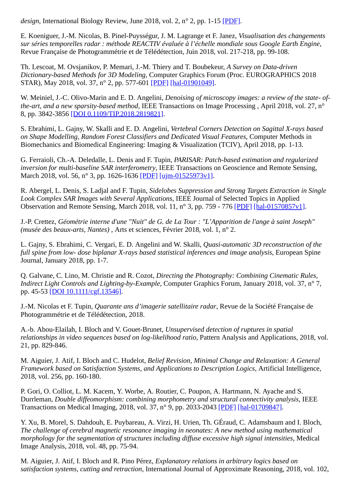*design*, International Biology Review, June 2018, vol. 2, n° 2, pp. 1-15 [\[PDF\]](https://journals.ke-i.org/index.php/ibr/article/download/1782/1848).

E. Koeniguer, J.-M. Nicolas, B. Pinel-Puysségur, J. M. Lagrange et F. Janez, *Visualisation des changements sur séries temporelles radar : méthode REACTIV évaluée à l'échelle mondiale sous Google Earth Engine*, Revue Française de Photogrammétrie et de Télédétection, Juin 2018, vol. 217-218, pp. 99-108.

Th. Lescoat, M. Ovsjanikov, P. Memari, J.-M. Thiery and T. Boubekeur, *A Survey on Data-driven Dictionary-based Methods for 3D Modeling*, Computer Graphics Forum (Proc. EUROGRAPHICS 2018 STAR), May 2018, vol. 37, n° 2, pp. 577-601 [\[PDF\]](http://biblio.telecom-paristech.fr/cgi-bin/download.cgi?id=18008) [\[hal-01901049\].](http://hal-institut-telecom.archives-ouvertes.fr/hal-01901049)

W. Meiniel, J.-C. Olivo-Marin and E. D. Angelini, *Denoising of microscopy images: a review of the state- ofthe-art, and a new sparsity-based method*, IEEE Transactions on Image Processing , April 2018, vol. 27, n° 8, pp. 3842-3856 [\[DOI 0.1109/TIP.2018.2819821\].](http://dx.doi.org/0.1109/TIP.2018.2819821)

S. Ebrahimi, L. Gajny, W. Skalli and E. D. Angelini, *Vertebral Corners Detection on Sagittal X-rays based on Shape Modelling, Random Forest Classifiers and Dedicated Visual Features*, Computer Methods in Biomechanics and Biomedical Engineering: Imaging & Visualization (TCIV), April 2018, pp. 1-13.

G. Ferraioli, Ch.-A. Deledalle, L. Denis and F. Tupin, *PARISAR: Patch-based estimation and regularized inversion for multi-baseline SAR interferometry*, IEEE Transactions on Geoscience and Remote Sensing, March 2018, vol. 56, n° 3, pp. 1626-1636 [\[PDF\]](https://hal.archives-ouvertes.fr/ujm-01525973v1) [\[ujm-01525973v1\]](http://hal-institut-telecom.archives-ouvertes.fr/ujm-01525973v1).

R. Abergel, L. Denis, S. Ladjal and F. Tupin, *Sidelobes Suppression and Strong Targets Extraction in Single Look Complex SAR Images with Several Applications*, IEEE Journal of Selected Topics in Applied Observation and Remote Sensing, March 2018, vol. 11, n° 3, pp. 759 - 776 [\[PDF\]](https://hal.archives-ouvertes.fr/hal-01570857v1https://hal.archives-ouvertes.fr/hal-01570857v1) [\[hal-01570857v1\]](http://hal-institut-telecom.archives-ouvertes.fr/hal-01570857v1).

J.-P. Crettez, *Géométrie interne d'une "Nuit" de G. de La Tour : "L'Apparition de l'ange à saint Joseph" (musée des beaux-arts, Nantes)* , Arts et sciences, Février 2018, vol. 1, n° 2.

L. Gajny, S. Ebrahimi, C. Vergari, E. D. Angelini and W. Skalli, *Quasi-automatic 3D reconstruction of the full spine from low- dose biplanar X-rays based statistical inferences and image analysis*, European Spine Journal, January 2018, pp. 1-7.

Q. Galvane, C. Lino, M. Christie and R. Cozot, *Directing the Photography: Combining Cinematic Rules, Indirect Light Controls and Lighting-by-Example*, Computer Graphics Forum, January 2018, vol. 37, n° 7, pp. 45-53 [\[DOI 10.1111/cgf.13546\].](http://dx.doi.org/10.1111/cgf.13546)

J.-M. Nicolas et F. Tupin, *Quarante ans d'imagerie satellitaire radar*, Revue de la Société Française de Photogrammétrie et de Télédétection, 2018.

A.-b. Abou-Elailah, I. Bloch and V. Gouet-Brunet, *Unsupervised detection of ruptures in spatial relationships in video sequences based on log-likelihood ratio*, Pattern Analysis and Applications, 2018, vol. 21, pp. 829-846.

M. Aiguier, J. Atif, I. Bloch and C. Hudelot, *Belief Revision, Minimal Change and Relaxation: A General Framework based on Satisfaction Systems, and Applications to Description Logics*, Artificial Intelligence, 2018, vol. 256, pp. 160-180.

P. Gori, O. Colliot, L. M. Kacem, Y. Worbe, A. Routier, C. Poupon, A. Hartmann, N. Ayache and S. Durrleman, *Double diffeomorphism: combining morphometry and structural connectivity analysis*, IEEE Transactions on Medical Imaging, 2018, vol. 37, n° 9, pp. 2033-2043 [\[PDF\]](https://hal.archives-ouvertes.fr/hal-01709847/file/Double_Diffeo_paper_Review2_Clean.pdf) [\[hal-01709847\]](http://hal-institut-telecom.archives-ouvertes.fr/hal-01709847).

Y. Xu, B. Morel, S. Dahdouh, E. Puybareau, A. Virzi, H. Urien, Th. GÉraud, C. Adamsbaum and I. Bloch, *The challenge of cerebral magnetic resonance imaging in neonates: A new method using mathematical morphology for the segmentation of structures including diffuse excessive high signal intensities*, Medical Image Analysis, 2018, vol. 48, pp. 75-94.

M. Aiguier, J. Atif, I. Bloch and R. Pino Pérez, *Explanatory relations in arbitrary logics based on satisfaction systems, cutting and retraction*, International Journal of Approximate Reasoning, 2018, vol. 102,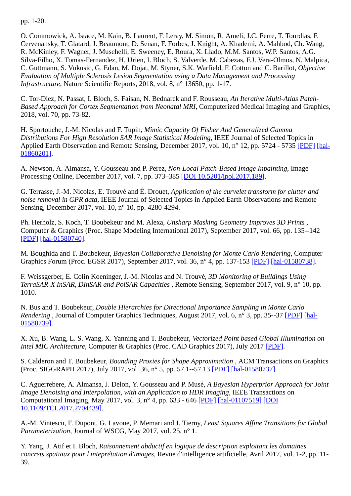pp. 1-20.

O. Commowick, A. Istace, M. Kain, B. Laurent, F. Leray, M. Simon, R. Ameli, J.C. Ferre, T. Tourdias, F. Cervenansky, T. Glatard, J. Beaumont, D. Senan, F. Forbes, J. Knight, A. Khademi, A. Mahbod, Ch. Wang, R. McKinley, F. Wagner, J. Muschelli, E. Sweeney, E. Roura, X. Llado, M.M. Santos, W.P. Santos, A.G. Silva-Filho, X. Tomas-Fernandez, H. Urien, I. Bloch, S. Valverde, M. Cabezas, F.J. Vera-Olmos, N. Malpica, C. Guttmann, S. Vukusic, G. Edan, M. Dojat, M. Styner, S.K. Warfield, F. Cotton and C. Barillot, *Objective Evaluation of Multiple Sclerosis Lesion Segmentation using a Data Management and Processing Infrastructure*, Nature Scientific Reports, 2018, vol. 8, n° 13650, pp. 1-17.

C. Tor-Diez, N. Passat, I. Bloch, S. Faisan, N. Bednarek and F. Rousseau, *An Iterative Multi-Atlas Patch-Based Approach for Cortex Segmentation from Neonatal MRI*, Computerized Medical Imaging and Graphics, 2018, vol. 70, pp. 73-82.

H. Sportouche, J.-M. Nicolas and F. Tupin, *Mimic Capacity Of Fisher And Generalized Gamma Distributions For High Resolution SAR Image Statistical Modeling*, IEEE Journal of Selected Topics in [Applied Earth Observation and Remote Sensing, December 2017, vol. 10, n° 12, pp. 5724 - 5735 \[PDF\]](http://hal-institut-telecom.archives-ouvertes.fr/hal-01860201) [hal-01860201].

A. Newson, A. Almansa, Y. Gousseau and P. Perez, *Non-Local Patch-Based Image Inpainting*, Image Processing Online, December 2017, vol. 7, pp. 373–385 [\[DOI 10.5201/ipol.2017.189\]](http://dx.doi.org/10.5201/ipol.2017.189).

G. Terrasse, J.-M. Nicolas, E. Trouvé and É. Drouet, *Application of the curvelet transform for clutter and noise removal in GPR data*, IEEE Journal of Selected Topics in Applied Earth Observations and Remote Sensing, December 2017, vol. 10, n° 10, pp. 4280-4294.

Ph. Herholz, S. Koch, T. Boubekeur and M. Alexa, *Unsharp Masking Geometry Improves 3D Prints* , Computer & Graphics (Proc. Shape Modeling International 2017), September 2017, vol. 66, pp. 135--142 [\[PDF\]](http://perso.telecom-paristech.fr/~boubek/papers/UnsharpMasking3DPrinting/) [\[hal-01580740\].](http://hal-institut-telecom.archives-ouvertes.fr/hal-01580740)

M. Boughida and T. Boubekeur, *Bayesian Collaborative Denoising for Monte Carlo Rendering*, Computer Graphics Forum (Proc. EGSR 2017), September 2017, vol. 36, n° 4, pp. 137-153 [\[PDF\]](http://perso.telecom-paristech.fr/~boubek/papers/BCD/) [\[hal-01580738\]](http://hal-institut-telecom.archives-ouvertes.fr/hal-01580738).

F. Weissgerber, E. Colin Koeninger, J.-M. Nicolas and N. Trouvé, *3D Monitoring of Buildings Using TerraSAR-X InSAR, DInSAR and PolSAR Capacities* , Remote Sensing, September 2017, vol. 9, n° 10, pp. 1010.

N. Bus and T. Boubekeur, *Double Hierarchies for Directional Importance Sampling in Monte Carlo Rendering* [, Journal of Computer Graphics Techniques, August 2017, vol. 6, n° 3, pp. 35--37](http://hal-institut-telecom.archives-ouvertes.fr/hal-01580739) [\[PDF](http://perso.telecom-paristech.fr/~boubek/papers/DHS/DHS_Abstract.pdf)[\]](http://hal-institut-telecom.archives-ouvertes.fr/hal-01580739) [hal-01580739].

X. Xu, B. Wang, L. S. Wang, X. Yanning and T. Boubekeur, *Vectorized Point based Global Illumination on Intel MIC Architecture*, Computer & Graphics (Proc. CAD Graphics 2017), July 2017 [\[PDF\].](https://hal.inria.fr/hal-01560810)

S. Calderon and T. Boubekeur, *Bounding Proxies for Shape Approximation* , ACM Transactions on Graphics (Proc. SIGGRAPH 2017), July 2017, vol. 36, n° 5, pp. 57.1--57.13 [\[PDF\]](http://perso.telecom-paristech.fr/~boubek/papers/BoundingProxies/) [\[hal-01580737\].](http://hal-institut-telecom.archives-ouvertes.fr/hal-01580737)

C. Aguerrebere, A. Almansa, J. Delon, Y. Gousseau and P. Musé, *A Bayesian Hyperprior Approach for Joint Image Denoising and Interpolation, with an Application to HDR Imaging*, IEEE Transactions on [Computational Imaging, May 2017, vol. 3, n° 4, pp. 633 - 646 \[](http://dx.doi.org/10.1109/TCI.2017.2704439)[PDF\]](http://biblio.telecom-paristech.fr/cgi-bin/download.cgi?id=16879) [\[hal-01107519\]](http://hal-institut-telecom.archives-ouvertes.fr/hal-01107519) [DOI 10.1109/TCI.2017.2704439].

A.-M. Vintescu, F. Dupont, G. Lavoue, P. Memari and J. Tierny, *Least Squares Affine Transitions for Global Parameterization*, Journal of WSCG, May 2017, vol. 25, n° 1.

Y. Yang, J. Atif et I. Bloch, *Raisonnement abductif en logique de description exploitant les domaines concrets spatiaux pour l'inteprétation d'images*, Revue d'intelligence artificielle, Avril 2017, vol. 1-2, pp. 11- 39.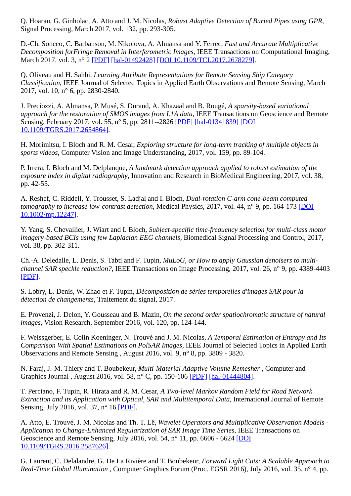Q. Hoarau, G. Ginholac, A. Atto and J. M. Nicolas, *Robust Adaptive Detection of Buried Pipes using GPR*, Signal Processing, March 2017, vol. 132, pp. 293-305.

D.-Ch. Soncco, C. Barbanson, M. Nikolova, A. Almansa and Y. Ferrec, *Fast and Accurate Multiplicative Decomposition forFringe Removal in Interferometric Images*, IEEE Transactions on Computational Imaging, March 2017, vol. 3, n° 2 [\[PDF\]](http://biblio.telecom-paristech.fr/cgi-bin/download.cgi?id=16882) [\[hal-01492428\]](http://hal-institut-telecom.archives-ouvertes.fr/hal-01492428) [\[DOI 10.1109/TCI.2017.2678279\].](http://dx.doi.org/10.1109/TCI.2017.2678279)

Q. Oliveau and H. Sahbi, *Learning Attribute Representations for Remote Sensing Ship Category Classification*, IEEE Journal of Selected Topics in Applied Earth Observations and Remote Sensing, March 2017, vol. 10, n° 6, pp. 2830-2840.

J. Preciozzi, A. Almansa, P. Musé, S. Durand, A. Khazaal and B. Rougé, *A sparsity-based variational approach for the restoration of SMOS images from L1A data*, IEEE Transactions on Geoscience and Remote [Sensing, February 2017, vol. 55, n° 5, pp. 2811--2826 \[PDF\]](http://dx.doi.org/10.1109/TGRS.2017.2654864) [\[hal-01341839\]](http://hal-institut-telecom.archives-ouvertes.fr/hal-01341839) [DOI 10.1109/TGRS.2017.2654864].

H. Morimitsu, I. Bloch and R. M. Cesar, *Exploring structure for long-term tracking of multiple objects in sports videos*, Computer Vision and Image Understanding, 2017, vol. 159, pp. 89-104.

P. Irrera, I. Bloch and M. Delplanque, *A landmark detection approach applied to robust estimation of the exposure index in digital radiography*, Innovation and Research in BioMedical Engineering, 2017, vol. 38, pp. 42-55.

A. Reshef, C. Riddell, Y. Trousset, S. Ladjal and I. Bloch, *Dual-rotation C-arm cone-beam computed tomography to increase low-contrast detection*[, Medical Physics, 2017, vol. 44, n° 9, pp. 164-173 \[DOI](http://dx.doi.org/10.1002/mp.12247) 10.1002/mp.12247].

Y. Yang, S. Chevallier, J. Wiart and I. Bloch, *Subject-specific time-frequency selection for multi-class motor imagery-based BCIs using few Laplacian EEG channels*, Biomedical Signal Processing and Control, 2017, vol. 38, pp. 302-311.

Ch.-A. Deledalle, L. Denis, S. Tabti and F. Tupin, *MuLoG, or How to apply Gaussian denoisers to multichannel SAR speckle reduction?*, IEEE Transactions on Image Processing, 2017, vol. 26, n° 9, pp. 4389-4403 [\[PDF\]](https://hal.archives-ouvertes.fr/hal-01388858v2).

S. Lobry, L. Denis, W. Zhao et F. Tupin, *Décomposition de séries temporelles d'images SAR pour la détection de changements*, Traitement du signal, 2017.

E. Provenzi, J. Delon, Y. Gousseau and B. Mazin, *On the second order spatiochromatic structure of natural images*, Vision Research, September 2016, vol. 120, pp. 124-144.

F. Weissgerber, E. Colin Koeninger, N. Trouvé and J. M. Nicolas, *A Temporal Estimation of Entropy and Its Comparison With Spatial Estimations on PolSAR Images*, IEEE Journal of Selected Topics in Applied Earth Observations and Remote Sensing , August 2016, vol. 9, n° 8, pp. 3809 - 3820.

N. Faraj, J.-M. Thiery and T. Boubekeur, *Multi-Material Adaptive Volume Remesher* , Computer and Graphics Journal , August 2016, vol. 58, n° C, pp. 150-106 [\[PDF\]](http://www.telecom-paristech.fr/~boubek/papers/MADVolumeRemesher/) [\[hal-01444804\]](http://hal-institut-telecom.archives-ouvertes.fr/hal-01444804).

T. Perciano, F. Tupin, R. Hirata and R. M. Cesar, *A Two-level Markov Random Field for Road Network Extraction and its Application with Optical, SAR and Multitemporal Data*, International Journal of Remote Sensing, July 2016, vol. 37, n° 16 [\[PDF\]](http://perso.telecom-paristech.fr/~tupin/PUB/PercianoIJRS16.pdf).

A. Atto, E. Trouvé, J. M. Nicolas and Th. T. Lê, *Wavelet Operators and Multiplicative Observation Models - Application to Change-Enhanced Regularization of SAR Image Time Series*, IEEE Transactions on [Geoscience and Remote Sensing, July 2016, vol. 54, n° 11, pp. 6606 - 6624 \[DOI](http://dx.doi.org/10.1109/TGRS.2016.2587626) 10.1109/TGRS.2016.2587626].

G. Laurent, C. Delalandre, G. De La Rivière and T. Boubekeur, *Forward Light Cuts: A Scalable Approach to Real-Time Global Illumination* , Computer Graphics Forum (Proc. EGSR 2016), July 2016, vol. 35, n° 4, pp.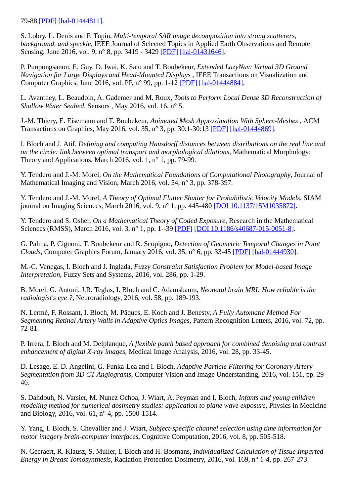## 79-88 [\[PDF\]](http://http//www.telecom-paristech.fr/~boubek/papers/FLC/) [\[hal-01444811\]](http://hal-institut-telecom.archives-ouvertes.fr/hal-01444811).

S. Lobry, L. Denis and F. Tupin, *Multi-temporal SAR image decomposition into strong scatterers, background, and speckle*, IEEE Journal of Selected Topics in Applied Earth Observations and Remote Sensing, June 2016, vol. 9, n° 8, pp. 3419 - 3429 [\[PDF\]](http://biblio.telecom-paristech.fr/cgi-bin/download.cgi?id=16137) [\[hal-01431646\].](http://hal-institut-telecom.archives-ouvertes.fr/hal-01431646)

P. Punpongsanon, E. Guy, D. Iwai, K. Sato and T. Boubekeur, *Extended LazyNav: Virtual 3D Ground Navigation for Large Displays and Head-Mounted Displays* , IEEE Transactions on Visualization and Computer Graphics, June 2016, vol. PP, n° 99, pp. 1-12 [\[PDF\]](http://ieeexplore.ieee.org/document/7501805/) [\[hal-01444884\]](http://hal-institut-telecom.archives-ouvertes.fr/hal-01444884).

L. Avanthey, L. Beaudoin, A. Gademer and M. Roux, *Tools to Perform Local Dense 3D Reconstruction of Shallow Water Seabed*, Sensors , May 2016, vol. 16, n° 5.

J.-M. Thiery, E. Eisemann and T. Boubekeur, *Animated Mesh Approximation With Sphere-Meshes* , ACM Transactions on Graphics, May 2016, vol. 35, n° 3, pp. 30:1-30:13 [\[PDF\]](http://www.telecom-paristech.fr/~boubek/papers/ASM/) [\[hal-01444869\].](http://hal-institut-telecom.archives-ouvertes.fr/hal-01444869)

I. Bloch and J. Atif, *Defining and computing Hausdorff distances between distributions on the real line and on the circle: link between optimal transport and morphological dilations*, Mathematical Morphology: Theory and Applications, March 2016, vol. 1, n° 1, pp. 79-99.

Y. Tendero and J.-M. Morel, *On the Mathematical Foundations of Computational Photography*, Journal of Mathematical Imaging and Vision, March 2016, vol. 54, n° 3, pp. 378-397.

Y. Tendero and J.-M. Morel, *A Theory of Optimal Flutter Shutter for Probabilistic Velocity Models*, SIAM journal on Imaging Sciences, March 2016, vol. 9, n° 1, pp. 445-480 [\[DOI 10.1137/15M1035872\].](http://dx.doi.org/10.1137/15M1035872)

Y. Tendero and S. Osher, *On a Mathematical Theory of Coded Exposure*, Research in the Mathematical Sciences (RMSS), March 2016, vol. 3, n° 1, pp. 1--39 [\[PDF\]](http://biblio.telecom-paristech.fr/cgi-bin/download.cgi?id=16108) [\[DOI 10.1186/s40687-015-0051-8\].](http://dx.doi.org/10.1186/s40687-015-0051-8)

G. Palma, P. Cignoni, T. Boubekeur and R. Scopigno, *Detection of Geometric Temporal Changes in Point Clouds*, Computer Graphics Forum, January 2016, vol. 35, n° 6, pp. 33-45 [\[PDF\]](http://www.telecom-paristech.fr/~boubek/papers/ChangeDetect3D/) [\[hal-01444930\]](http://hal-institut-telecom.archives-ouvertes.fr/hal-01444930).

M.-C. Vanegas, I. Bloch and J. Inglada, *Fuzzy Constraint Satisfaction Problem for Model-based Image Interpretation*, Fuzzy Sets and Systems, 2016, vol. 286, pp. 1-29.

B. Morel, G. Antoni, J.R. Teglas, I. Bloch and C. Adamsbaum, *Neonatal brain MRI: How reliable is the radiologist's eye ?*, Neuroradiology, 2016, vol. 58, pp. 189-193.

N. Lermé, F. Rossant, I. Bloch, M. Pâques, E. Koch and J. Benesty, *A Fully Automatic Method For Segmenting Retinal Artery Walls in Adaptive Optics Images*, Pattern Recognition Letters, 2016, vol. 72, pp. 72-81.

P. Irrera, I. Bloch and M. Delplanque, *A flexible patch based approach for combined denoising and contrast enhancement of digital X-ray images*, Medical Image Analysis, 2016, vol. 28, pp. 33-45.

D. Lesage, E. D. Angelini, G. Funka-Lea and I. Bloch, *Adaptive Particle Filtering for Coronary Artery Segmentation from 3D CT Angiograms*, Computer Vision and Image Understanding, 2016, vol. 151, pp. 29- 46.

S. Dahdouh, N. Varsier, M. Nunez Ochoa, J. Wiart, A. Peyman and I. Bloch, *Infants and young children modeling method for numerical dosimetry studies: application to plane wave exposure*, Physics in Medicine and Biology, 2016, vol. 61, n° 4, pp. 1500-1514.

Y. Yang, I. Bloch, S. Chevallier and J. Wiart, *Subject-specific channel selection using time information for motor imagery brain-computer interfaces*, Cognitive Computation, 2016, vol. 8, pp. 505-518.

N. Geeraert, R. Klausz, S. Muller, I. Bloch and H. Bosmans, *Individualized Calculation of Tissue Imparted Energy in Breast Tomosynthesis*, Radiation Protection Dosimetry, 2016, vol. 169, n° 1-4, pp. 267-273.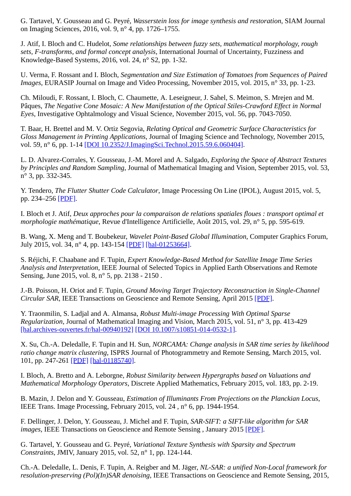G. Tartavel, Y. Gousseau and G. Peyré, *Wasserstein loss for image synthesis and restoration*, SIAM Journal on Imaging Sciences, 2016, vol. 9, n° 4, pp. 1726–1755.

J. Atif, I. Bloch and C. Hudelot, *Some relationships between fuzzy sets, mathematical morphology, rough sets, F-transforms, and formal concept analysis*, International Journal of Uncertainty, Fuzziness and Knowledge-Based Systems, 2016, vol. 24, n° S2, pp. 1-32.

U. Verma, F. Rossant and I. Bloch, *Segmentation and Size Estimation of Tomatoes from Sequences of Paired Images*, EURASIP Journal on Image and Video Processing, November 2015, vol. 2015, n° 33, pp. 1-23.

Ch. Miloudi, F. Rossant, I. Bloch, C. Chaumette, A. Leseigneur, J. Sahel, S. Meimon, S. Mrejen and M. Pâques, *The Negative Cone Mosaic: A New Manifestation of the Optical Stiles-Crawford Effect in Normal Eyes*, Investigative Ophtalmology and Visual Science, November 2015, vol. 56, pp. 7043-7050.

T. Baar, H. Brettel and M. V. Ortiz Segovia, *Relating Optical and Geometric Surface Characteristics for Gloss Management in Printing Applications*, Journal of Imaging Science and Technology, November 2015, vol. 59, n° 6, pp. 1-14 [\[DOI 10.2352/J.ImagingSci.Technol.2015.59.6.060404\]](http://dx.doi.org/10.2352/J.ImagingSci.Technol.2015.59.6.060404).

L. D. Alvarez-Corrales, Y. Gousseau, J.-M. Morel and A. Salgado, *Exploring the Space of Abstract Textures by Principles and Random Sampling*, Journal of Mathematical Imaging and Vision, September 2015, vol. 53, n° 3, pp. 332-345.

Y. Tendero, *The Flutter Shutter Code Calculator*, Image Processing On Line (IPOL), August 2015, vol. 5, pp. 234–256 [\[PDF\]](http://biblio.telecom-paristech.fr/cgi-bin/download.cgi?id=15681).

I. Bloch et J. Atif, *Deux approches pour la comparaison de relations spatiales floues : transport optimal et morphologie mathématique*, Revue d'Intelligence Artificielle, Août 2015, vol. 29, n° 5, pp. 595-619.

B. Wang, X. Meng and T. Boubekeur, *Wavelet Point-Based Global Illumination*, Computer Graphics Forum, July 2015, vol. 34, n° 4, pp. 143-154 [\[PDF\]](http://www.telecom-paristech.fr/~boubek/papers/WPBGI/) [\[hal-01253664\].](http://hal-institut-telecom.archives-ouvertes.fr/hal-01253664)

S. Réjichi, F. Chaabane and F. Tupin, *Expert Knowledge-Based Method for Satellite Image Time Series Analysis and Interpretation*, IEEE Journal of Selected Topics in Applied Earth Observations and Remote Sensing, June 2015, vol. 8, n° 5, pp. 2138 - 2150 .

J.-B. Poisson, H. Oriot and F. Tupin, *Ground Moving Target Trajectory Reconstruction in Single-Channel Circular SAR*, IEEE Transactions on Geoscience and Remote Sensing, April 2015 [\[PDF\].](http://biblio.telecom-paristech.fr/cgi-bin/download.cgi?id=14138)

Y. Traonmilin, S. Ladjal and A. Almansa, *Robust Multi-image Processing With Optimal Sparse Regularization*, Journal of Mathematical Imaging and Vision, March 2015, vol. 51, n° 3, pp. 413-429 [\[hal.archives-ouvertes.fr/hal-00940192\]](http://hal-institut-telecom.archives-ouvertes.fr/hal.archives-ouvertes.fr/hal-00940192) [\[DOI 10.1007/s10851-014-0532-1\].](http://dx.doi.org/10.1007/s10851-014-0532-1)

X. Su, Ch.-A. Deledalle, F. Tupin and H. Sun, *NORCAMA: Change analysis in SAR time series by likelihood ratio change matrix clustering*, ISPRS Journal of Photogrammetry and Remote Sensing, March 2015, vol. 101, pp. 247-261 [\[PDF\]](http://biblio.telecom-paristech.fr/cgi-bin/download.cgi?id=15643) [\[hal-01185740\]](http://hal-institut-telecom.archives-ouvertes.fr/hal-01185740).

I. Bloch, A. Bretto and A. Leborgne, *Robust Similarity between Hypergraphs based on Valuations and Mathematical Morphology Operators*, Discrete Applied Mathematics, February 2015, vol. 183, pp. 2-19.

B. Mazin, J. Delon and Y. Gousseau, *Estimation of Illuminants From Projections on the Planckian Locus*, IEEE Trans. Image Processing, February 2015, vol. 24 , n° 6, pp. 1944-1954.

F. Dellinger, J. Delon, Y. Gousseau, J. Michel and F. Tupin, *SAR-SIFT: a SIFT-like algorithm for SAR images*, IEEE Transactions on Geoscience and Remote Sensing , January 2015 [\[PDF\]](http://hal.archives-ouvertes.fr/docs/00/83/17/63/PDF/preprint_sar_sift_dellinger_hal.pdf).

G. Tartavel, Y. Gousseau and G. Peyré, *Variational Texture Synthesis with Sparsity and Spectrum Constraints*, JMIV, January 2015, vol. 52, n° 1, pp. 124-144.

Ch.-A. Deledalle, L. Denis, F. Tupin, A. Reigber and M. Jäger, *NL-SAR: a unified Non-Local framework for resolution-preserving (Pol)(In)SAR denoising*, IEEE Transactions on Geoscience and Remote Sensing, 2015,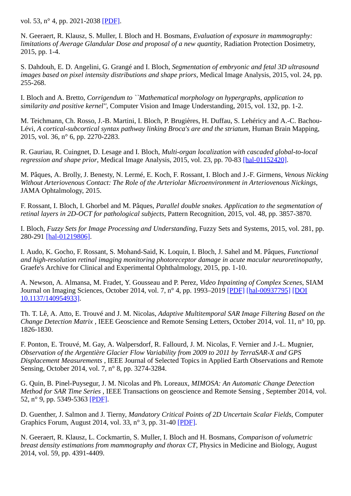vol. 53, n° 4, pp. 2021-2038 [\[PDF\]](http://hal.archives-ouvertes.fr/hal-00844118).

N. Geeraert, R. Klausz, S. Muller, I. Bloch and H. Bosmans, *Evaluation of exposure in mammography: limitations of Average Glandular Dose and proposal of a new quantity*, Radiation Protection Dosimetry, 2015, pp. 1-4.

S. Dahdouh, E. D. Angelini, G. Grangé and I. Bloch, *Segmentation of embryonic and fetal 3D ultrasound images based on pixel intensity distributions and shape priors*, Medical Image Analysis, 2015, vol. 24, pp. 255-268.

I. Bloch and A. Bretto, *Corrigendum to ``Mathematical morphology on hypergraphs, application to similarity and positive kernel''*, Computer Vision and Image Understanding, 2015, vol. 132, pp. 1-2.

M. Teichmann, Ch. Rosso, J.-B. Martini, I. Bloch, P. Brugières, H. Duffau, S. Lehéricy and A.-C. Bachou-Lévi, *A cortical-subcortical syntax pathway linking Broca's are and the striatum*, Human Brain Mapping, 2015, vol. 36, n° 6, pp. 2270-2283.

R. Gauriau, R. Cuingnet, D. Lesage and I. Bloch, *Multi-organ localization with cascaded global-to-local regression and shape prior*, Medical Image Analysis, 2015, vol. 23, pp. 70-83 [\[hal-01152420\].](http://hal-institut-telecom.archives-ouvertes.fr/hal-01152420)

M. Pâques, A. Brolly, J. Benesty, N. Lermé, E. Koch, F. Rossant, I. Bloch and J.-F. Girmens, *Venous Nicking Without Arteriovenous Contact: The Role of the Arteriolar Microenvironment in Arteriovenous Nickings*, JAMA Ophtalmology, 2015.

F. Rossant, I. Bloch, I. Ghorbel and M. Pâques, *Parallel double snakes. Application to the segmentation of retinal layers in 2D-OCT for pathological subjects*, Pattern Recognition, 2015, vol. 48, pp. 3857-3870.

I. Bloch, *Fuzzy Sets for Image Processing and Understanding*, Fuzzy Sets and Systems, 2015, vol. 281, pp. 280-291 [\[hal-01219806\].](http://hal-institut-telecom.archives-ouvertes.fr/hal-01219806)

I. Audo, K. Gocho, F. Rossant, S. Mohand-Said, K. Loquin, I. Bloch, J. Sahel and M. Pâques, *Functional and high-resolution retinal imaging monitoring photoreceptor damage in acute macular neuroretinopathy*, Graefe's Archive for Clinical and Experimental Ophthalmology, 2015, pp. 1-10.

A. Newson, A. Almansa, M. Fradet, Y. Gousseau and P. Perez, *Video Inpainting of Complex Scenes*, SIAM [Journal on Imaging Sciences, October 2014, vol. 7, n° 4, pp. 1993–2019](http://dx.doi.org/10.1137/140954933) [\[PDF](http://epubs.siam.org/doi/abs/10.1137/140954933)[\]](http://dx.doi.org/10.1137/140954933) [\[hal-00937795\]](http://hal-institut-telecom.archives-ouvertes.fr/hal-00937795) [DOI 10.1137/140954933].

Th. T. Lê, A. Atto, E. Trouvé and J. M. Nicolas, *Adaptive Multitemporal SAR Image Filtering Based on the Change Detection Matrix* , IEEE Geoscience and Remote Sensing Letters, October 2014, vol. 11, n° 10, pp. 1826-1830.

F. Ponton, E. Trouvé, M. Gay, A. Walpersdorf, R. Fallourd, J. M. Nicolas, F. Vernier and J.-L. Mugnier, *Observation of the Argentière Glacier Flow Variability from 2009 to 2011 by TerraSAR-X and GPS Displacement Measurements* , IEEE Journal of Selected Topics in Applied Earth Observations and Remote Sensing, October 2014, vol. 7, n° 8, pp. 3274-3284.

G. Quin, B. Pinel-Puysegur, J. M. Nicolas and Ph. Loreaux, *MIMOSA: An Automatic Change Detection Method for SAR Time Series* , IEEE Transactions on geoscience and Remote Sensing , September 2014, vol. 52, n° 9, pp. 5349-5363 [\[PDF\].](http://biblio.telecom-paristech.fr/cgi-bin/download.cgi?id=14489)

D. Guenther, J. Salmon and J. Tierny, *Mandatory Critical Points of 2D Uncertain Scalar Fields*, Computer Graphics Forum, August 2014, vol. 33, n° 3, pp. 31-40 [\[PDF\]](http://perso.telecom-paristech.fr/~tierny/stuff/papers/eurovis14.pdf).

N. Geeraert, R. Klausz, L. Cockmartin, S. Muller, I. Bloch and H. Bosmans, *Comparison of volumetric breast density estimations from mammography and thorax CT*, Physics in Medicine and Biology, August 2014, vol. 59, pp. 4391-4409.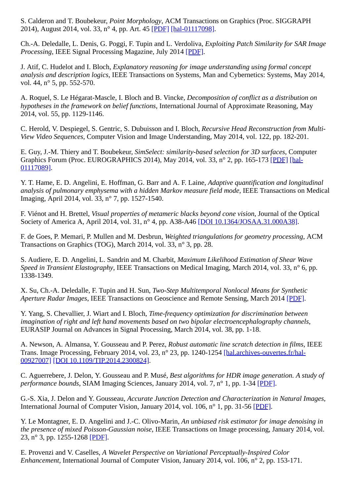S. Calderon and T. Boubekeur, *Point Morphology*, ACM Transactions on Graphics (Proc. SIGGRAPH 2014), August 2014, vol. 33, n° 4, pp. Art. 45 [\[PDF\]](http://www.telecom-paristech.fr/~boubek/papers/PointMorphology/) [\[hal-01117098\].](http://hal-institut-telecom.archives-ouvertes.fr/hal-01117098)

Ch.-A. Deledalle, L. Denis, G. Poggi, F. Tupin and L. Verdoliva, *Exploiting Patch Similarity for SAR Image Processing*, IEEE Signal Processing Magazine, July 2014 [\[PDF\].](http://hal-ujm.ccsd.cnrs.fr/ujm-00957334)

J. Atif, C. Hudelot and I. Bloch, *Explanatory reasoning for image understanding using formal concept analysis and description logics*, IEEE Transactions on Systems, Man and Cybernetics: Systems, May 2014, vol. 44, n° 5, pp. 552-570.

A. Roquel, S. Le Hégarat-Mascle, I. Bloch and B. Vincke, *Decomposition of conflict as a distribution on hypotheses in the framework on belief functions*, International Journal of Approximate Reasoning, May 2014, vol. 55, pp. 1129-1146.

C. Herold, V. Despiegel, S. Gentric, S. Dubuisson and I. Bloch, *Recursive Head Reconstruction from Multi-View Video Sequences*, Computer Vision and Image Understanding, May 2014, vol. 122, pp. 182-201.

E. Guy, J.-M. Thiery and T. Boubekeur, *SimSelect: similarity-based selection for 3D surfaces*, Computer [Graphics Forum \(Proc. EUROGRAPHICS 2014\), May 2014, vol. 33, n° 2, pp. 165-173 \[PDF\]](http://hal-institut-telecom.archives-ouvertes.fr/hal-01117089) [hal-01117089].

Y. T. Hame, E. D. Angelini, E. Hoffman, G. Barr and A. F. Laine, *Adaptive quantification and longitudinal analysis of pulmonary emphysema with a hidden Markov measure field mode*, IEEE Transactions on Medical Imaging, April 2014, vol. 33, n° 7, pp. 1527-1540.

F. Viénot and H. Brettel, *Visual properties of metameric blacks beyond cone vision*, Journal of the Optical Society of America A, April 2014, vol. 31, n° 4, pp. A38-A46 [\[DOI 10.1364/JOSAA.31.000A38\].](http://dx.doi.org/10.1364/JOSAA.31.000A38)

F. de Goes, P. Memari, P. Mullen and M. Desbrun, *Weighted triangulations for geometry processing*, ACM Transactions on Graphics (TOG), March 2014, vol. 33, n° 3, pp. 28.

S. Audiere, E. D. Angelini, L. Sandrin and M. Charbit, *Maximum Likelihood Estimation of Shear Wave Speed in Transient Elastography*, IEEE Transactions on Medical Imaging, March 2014, vol. 33, n° 6, pp. 1338-1349.

X. Su, Ch.-A. Deledalle, F. Tupin and H. Sun, *Two-Step Multitemporal Nonlocal Means for Synthetic Aperture Radar Images*, IEEE Transactions on Geoscience and Remote Sensing, March 2014 [\[PDF\]](http://biblio.telecom-paristech.fr/cgi-bin/download.cgi?id=14490).

Y. Yang, S. Chevallier, J. Wiart and I. Bloch, *Time-frequency optimization for discrimination between imagination of right and left hand movements based on two bipolar electroencephalography channels*, EURASIP Journal on Advances in Signal Processing, March 2014, vol. 38, pp. 1-18.

A. Newson, A. Almansa, Y. Gousseau and P. Perez, *Robust automatic line scratch detection in films*, IEEE [Trans. Image Processing, February 2014, vol. 23, n° 23, pp. 1240-1254 \[hal.archives-ouvertes.fr/hal-](http://hal-institut-telecom.archives-ouvertes.fr/hal.archives-ouvertes.fr/hal-00927007)00927007] [\[DOI 10.1109/TIP.2014.2300824\].](http://dx.doi.org/10.1109/TIP.2014.2300824)

C. Aguerrebere, J. Delon, Y. Gousseau and P. Musé, *Best algorithms for HDR image generation. A study of performance bounds*, SIAM Imaging Sciences, January 2014, vol. 7, n° 1, pp. 1-34 [\[PDF\]](http://hal.archives-ouvertes.fr/hal-00733853).

G.-S. Xia, J. Delon and Y. Gousseau, *Accurate Junction Detection and Characterization in Natural Images*, International Journal of Computer Vision, January 2014, vol. 106, n° 1, pp. 31-56 [\[PDF\].](http://hal.archives-ouvertes.fr/hal-00631609/fr/)

Y. Le Montagner, E. D. Angelini and J.-C. Olivo-Marin, *An unbiased risk estimator for image denoising in the presence of mixed Poisson-Gaussian noise*, IEEE Transactions on Image processing, January 2014, vol. 23, n° 3, pp. 1255-1268 [\[PDF\].](http://ieeexplore.ieee.org/stamp/stamp.jsp?tp=&arnumber=6714502&tag=1)

E. Provenzi and V. Caselles, *A Wavelet Perspective on Variational Perceptually-Inspired Color Enhancement*, International Journal of Computer Vision, January 2014, vol. 106, n° 2, pp. 153-171.